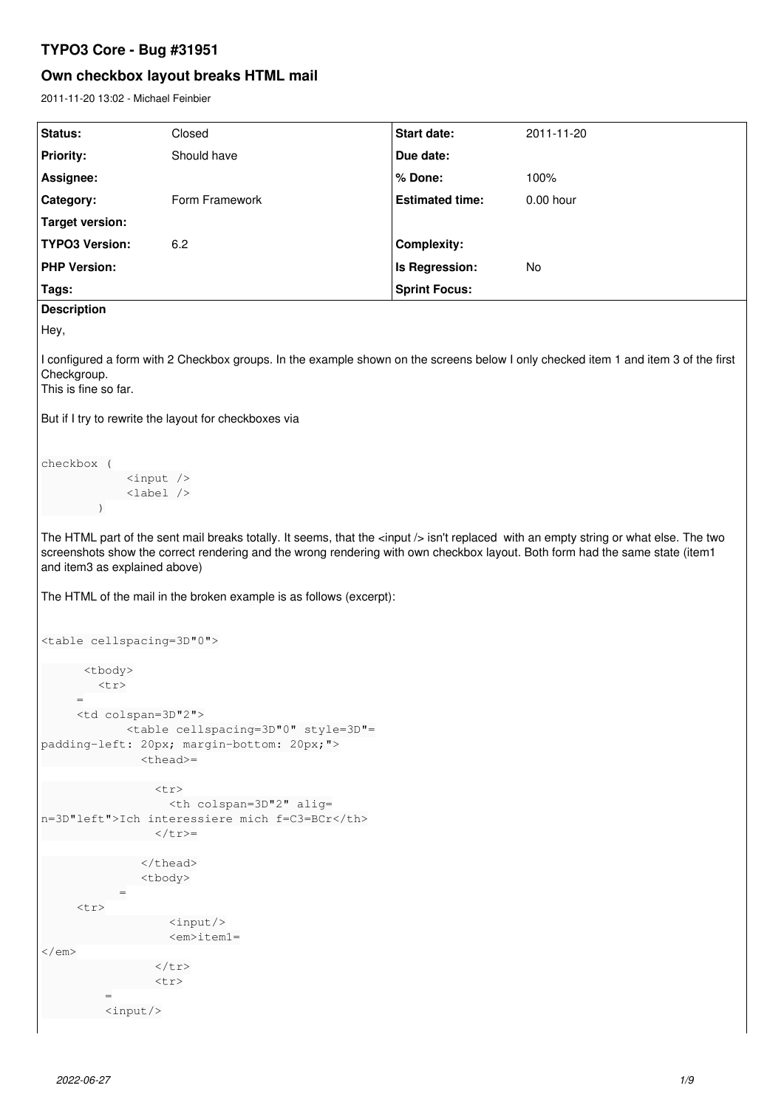# **TYPO3 Core - Bug #31951**

# **Own checkbox layout breaks HTML mail**

2011-11-20 13:02 - Michael Feinbier

| Status:                                                                                                                             | Closed         | <b>Start date:</b>     | 2011-11-20  |  |  |
|-------------------------------------------------------------------------------------------------------------------------------------|----------------|------------------------|-------------|--|--|
| <b>Priority:</b>                                                                                                                    | Should have    | Due date:              |             |  |  |
| Assignee:                                                                                                                           |                | $%$ Done:              | 100%        |  |  |
| <b>Category:</b>                                                                                                                    | Form Framework | <b>Estimated time:</b> | $0.00$ hour |  |  |
| Target version:                                                                                                                     |                |                        |             |  |  |
| <b>TYPO3 Version:</b>                                                                                                               | 6.2            | <b>Complexity:</b>     |             |  |  |
| <b>PHP Version:</b>                                                                                                                 |                | Is Regression:         | No          |  |  |
| Tags:                                                                                                                               |                | <b>Sprint Focus:</b>   |             |  |  |
| <b>Description</b>                                                                                                                  |                |                        |             |  |  |
| Hey,                                                                                                                                |                |                        |             |  |  |
| I configured a form with 2 Checkbox groups. In the example shown on the screens below I only checked item 1 and item 3 of the first |                |                        |             |  |  |

Checkgroup.

This is fine so far.

But if I try to rewrite the layout for checkboxes via

```
checkbox (
                                   <input />
                                <label />
             \rightarrow
```
The HTML part of the sent mail breaks totally. It seems, that the <input /> isn't replaced with an empty string or what else. The two screenshots show the correct rendering and the wrong rendering with own checkbox layout. Both form had the same state (item1 and item3 as explained above)

The HTML of the mail in the broken example is as follows (excerpt):

```
<table cellspacing=3D"0">
              <tbody>
                 <tr>
            =
            <td colspan=3D"2">
                           <table cellspacing=3D"0" style=3D"=
padding-left: 20px; margin-bottom: 20px;">
                    <thead>=
        \left\langle \text{tr}\right\rangle                  <th colspan=3D"2" alig=
n=3D"left">Ich interessiere mich f=C3=BCr</th>
          \langle t \rangle              </thead>
                                <tbody>
                         =
       <tr>
                                            <input/>
                             <em>item1=
\langle/em\rangle\langle/tr>
                                 <tr>
=         <input/>
```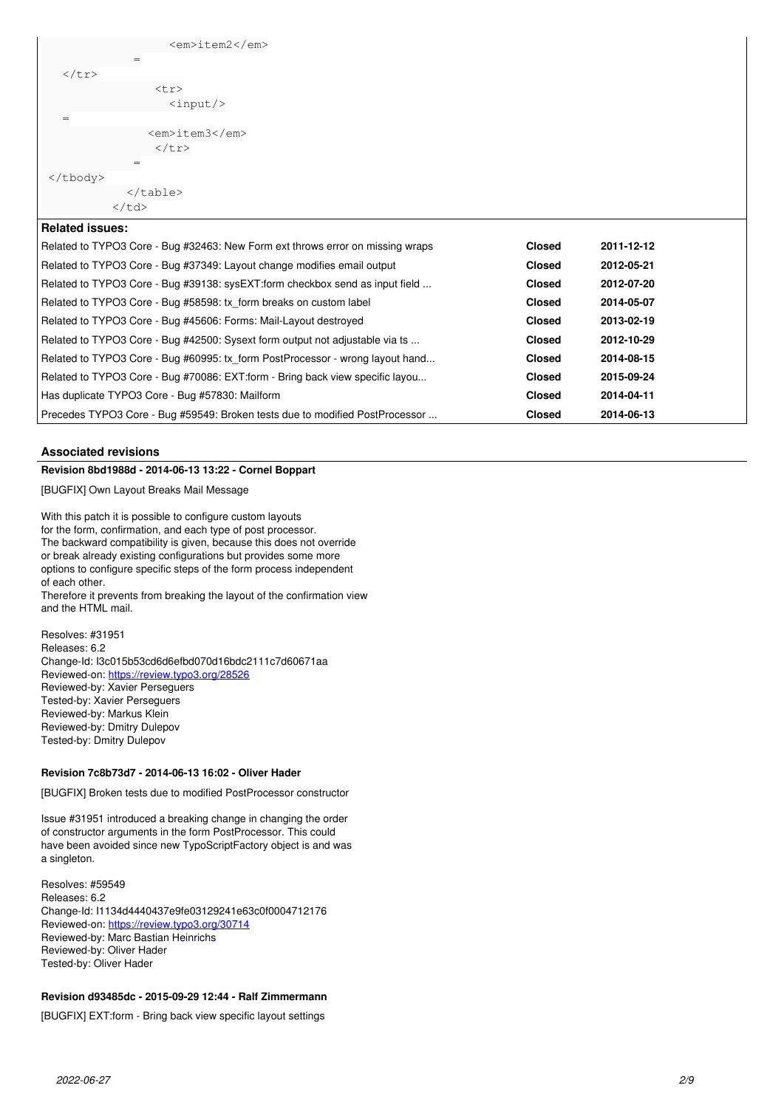| <em>item2</em>                                                                 |               |            |  |  |
|--------------------------------------------------------------------------------|---------------|------------|--|--|
| $=$                                                                            |               |            |  |  |
| $\langle$ /tr>                                                                 |               |            |  |  |
| $<$ tr>                                                                        |               |            |  |  |
| $\langle$ input/>                                                              |               |            |  |  |
| $=$                                                                            |               |            |  |  |
| <em>item3</em><br>$\langle$ /tr>                                               |               |            |  |  |
| =                                                                              |               |            |  |  |
| $\langle$ /tbody>                                                              |               |            |  |  |
| $\langle$ /table>                                                              |               |            |  |  |
| $\langle /td \rangle$                                                          |               |            |  |  |
| <b>Related issues:</b>                                                         |               |            |  |  |
| Related to TYPO3 Core - Bug #32463: New Form ext throws error on missing wraps | <b>Closed</b> | 2011-12-12 |  |  |
| Related to TYPO3 Core - Bug #37349: Layout change modifies email output        | <b>Closed</b> | 2012-05-21 |  |  |
| Related to TYPO3 Core - Bug #39138: sysEXT:form checkbox send as input field   | <b>Closed</b> | 2012-07-20 |  |  |
| Related to TYPO3 Core - Bug #58598: tx_form breaks on custom label             | <b>Closed</b> | 2014-05-07 |  |  |
| Related to TYPO3 Core - Bug #45606: Forms: Mail-Layout destroyed               | <b>Closed</b> | 2013-02-19 |  |  |
| Related to TYPO3 Core - Bug #42500: Sysext form output not adjustable via ts   | <b>Closed</b> | 2012-10-29 |  |  |
| Related to TYPO3 Core - Bug #60995: tx_form PostProcessor - wrong layout hand  | <b>Closed</b> | 2014-08-15 |  |  |
| Related to TYPO3 Core - Bug #70086: EXT:form - Bring back view specific layou  | <b>Closed</b> | 2015-09-24 |  |  |
| Has duplicate TYPO3 Core - Bug #57830: Mailform                                | <b>Closed</b> | 2014-04-11 |  |  |
| Precedes TYPO3 Core - Bug #59549: Broken tests due to modified PostProcessor   | <b>Closed</b> | 2014-06-13 |  |  |

# **Associated revisions**

# **Revision 8bd1988d - 2014-06-13 13:22 - Cornel Boppart**

[BUGFIX] Own Layout Breaks Mail Message

With this patch it is possible to configure custom layouts for the form, confirmation, and each type of post processor. The backward compatibility is given, because this does not override or break already existing configurations but provides some more options to configure specific steps of the form process independent of each other.

Therefore it prevents from breaking the layout of the confirmation view and the HTML mail.

Resolves: #31951 Releases: 6.2 Change-Id: I3c015b53cd6d6efbd070d16bdc2111c7d60671aa Reviewed-on:<https://review.typo3.org/28526> Reviewed-by: Xavier Perseguers Tested-by: Xavier Perseguers Reviewed-by: Markus Klein Reviewed-by: Dmitry Dulepov Tested-by: Dmitry Dulepov

# **Revision 7c8b73d7 - 2014-06-13 16:02 - Oliver Hader**

[BUGFIX] Broken tests due to modified PostProcessor constructor

Issue #31951 introduced a breaking change in changing the order of constructor arguments in the form PostProcessor. This could have been avoided since new TypoScriptFactory object is and was a singleton.

Resolves: #59549 Releases: 6.2 Change-Id: I1134d4440437e9fe03129241e63c0f0004712176 Reviewed-on:<https://review.typo3.org/30714> Reviewed-by: Marc Bastian Heinrichs Reviewed-by: Oliver Hader Tested-by: Oliver Hader

## **Revision d93485dc - 2015-09-29 12:44 - Ralf Zimmermann**

[BUGFIX] EXT:form - Bring back view specific layout settings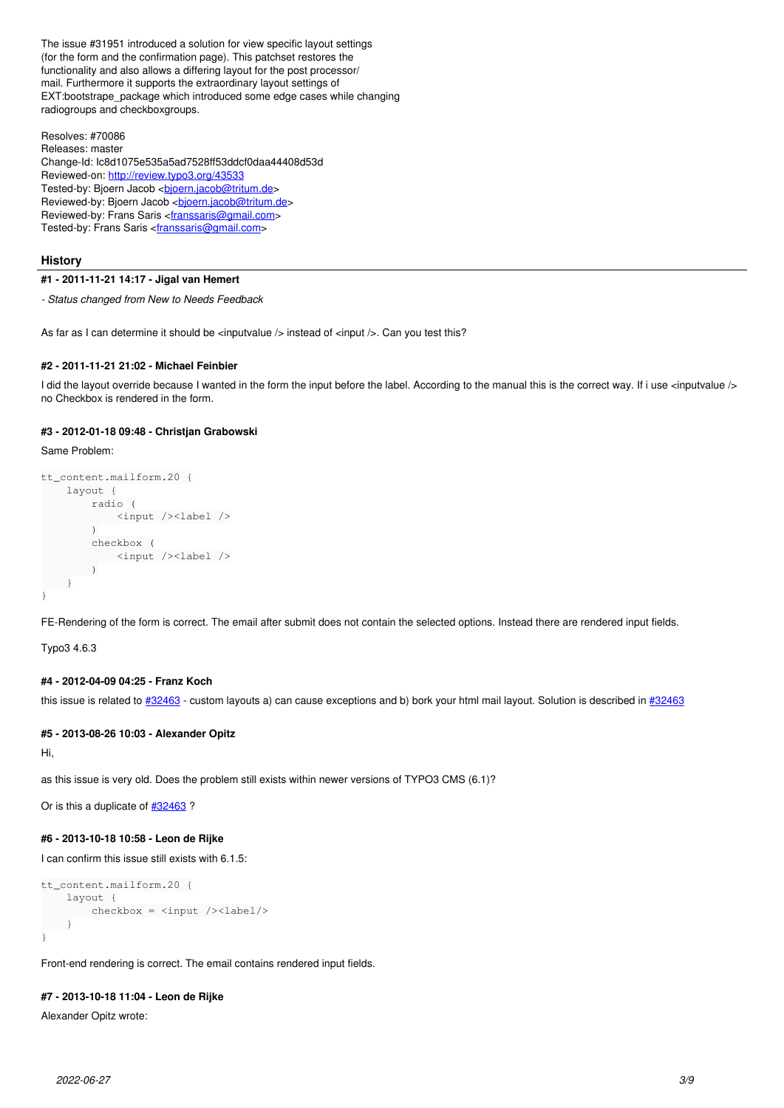The issue #31951 introduced a solution for view specific layout settings (for the form and the confirmation page). This patchset restores the functionality and also allows a differing layout for the post processor/ mail. Furthermore it supports the extraordinary layout settings of EXT:bootstrape\_package which introduced some edge cases while changing radiogroups and checkboxgroups.

Resolves: #70086 Releases: master Change-Id: Ic8d1075e535a5ad7528ff53ddcf0daa44408d53d Reviewed-on:<http://review.typo3.org/43533> Tested-by: Bjoern Jacob <br />[bjoern.jacob@tritum.de>](mailto:bjoern.jacob@tritum.de) Reviewed-by: Bjoern Jacob <br/>bioern.jacob@tritum.de> Reviewed-by: Frans Saris <*[franssaris@gmail.com>](mailto:franssaris@gmail.com)* Tested-by: Frans Saris <**[franssaris@gmail.com](mailto:franssaris@gmail.com)**>

## **History**

### **#1 - 2011-11-21 14:17 - Jigal van Hemert**

*- Status changed from New to Needs Feedback*

As far as I can determine it should be <inputvalue /> instead of <input />. Can you test this?

## **#2 - 2011-11-21 21:02 - Michael Feinbier**

I did the layout override because I wanted in the form the input before the label. According to the manual this is the correct way. If i use <inputyalue /> no Checkbox is rendered in the form.

### **#3 - 2012-01-18 09:48 - Christjan Grabowski**

Same Problem:

```
tt_content.mailform.20 {
          layout {
                     radio (
                             <input /><label />
\overline{\phantom{a}}        checkbox (
                               <input /><label />
                     )
          }
}
```
FE-Rendering of the form is correct. The email after submit does not contain the selected options. Instead there are rendered input fields.

Typo3 4.6.3

# **#4 - 2012-04-09 04:25 - Franz Koch**

this issue is related to  $\frac{\#32463}{2}$ - custom layouts a) can cause exceptions and b) bork your html mail layout. Solution is described in  $\frac{\#32463}{2}$ 

### **#5 - 2013-08-26 10:03 - Alexander Opitz**

Hi,

as this issue is very old. Does the problem still exists within newer versions of TYPO3 CMS (6.1)?

Or is this a duplicate of  $\frac{\#32463}{ }$  $\frac{\#32463}{ }$  $\frac{\#32463}{ }$ ?

# **#6 - 2013-10-18 10:58 - Leon de Rijke**

I can confirm this issue still exists with 6.1.5:

```
tt_content.mailform.20 {
        layout {
                  checkbox = <input /><label/>
        }
\lambda
```
Front-end rendering is correct. The email contains rendered input fields.

# **#7 - 2013-10-18 11:04 - Leon de Rijke**

Alexander Opitz wrote: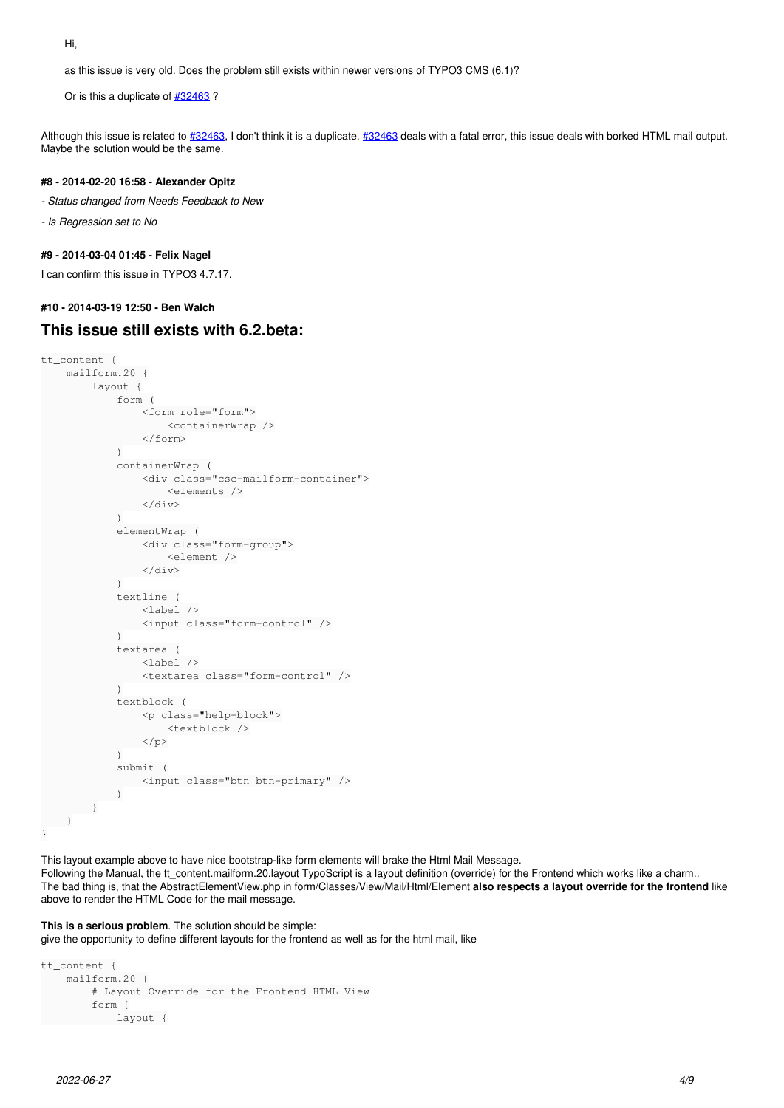Hi,

as this issue is very old. Does the problem still exists within newer versions of TYPO3 CMS (6.1)?

Or is this a duplicate of  $\frac{#32463}{ }$  $\frac{#32463}{ }$  $\frac{#32463}{ }$ ?

Although this issue is related to [#32463,](https://forge.typo3.org/issues/32463) I don't think it is a duplicate. [#32463](https://forge.typo3.org/issues/32463) deals with a fatal error, this issue deals with borked HTML mail output. Maybe the solution would be the same.

# **#8 - 2014-02-20 16:58 - Alexander Opitz**

- *Status changed from Needs Feedback to New*
- *Is Regression set to No*

### **#9 - 2014-03-04 01:45 - Felix Nagel**

I can confirm this issue in TYPO3 4.7.17.

#### **#10 - 2014-03-19 12:50 - Ben Walch**

# **This issue still exists with 6.2.beta:**

```
tt_content {
          mailform.20 {
                    layout {
                               form (
                                          <form role="form">
                                                    <containerWrap />
                                       </form>
)            containerWrap (
                                          <div class="csc-mailform-container">
                                                     <elements />
                                          </div>
)            elementWrap (
                                          <div class="form-group">
                                                     <element />
                        \langlediv>)            textline (
                                          <label />
                                          <input class="form-control" />
)            textarea (
                                          <label />
                                          <textarea class="form-control" />
)            textblock (
                                          <p class="help-block">
                                                    <textblock />
                        \langle p \rangle\lambda            submit (
                                       <input class="btn btn-primary" />
                \rightarrow        }
 \qquad \qquad }
}
```
This layout example above to have nice bootstrap-like form elements will brake the Html Mail Message.

Following the Manual, the tt\_content.mailform.20.layout TypoScript is a layout definition (override) for the Frontend which works like a charm.. The bad thing is, that the AbstractElementView.php in form/Classes/View/Mail/Html/Element **also respects a layout override for the frontend** like above to render the HTML Code for the mail message.

#### **This is a serious problem**. The solution should be simple:

give the opportunity to define different layouts for the frontend as well as for the html mail, like

```
tt_content {
        mailform.20 {
                 # Layout Override for the Frontend HTML View
                  form {
                          layout {
```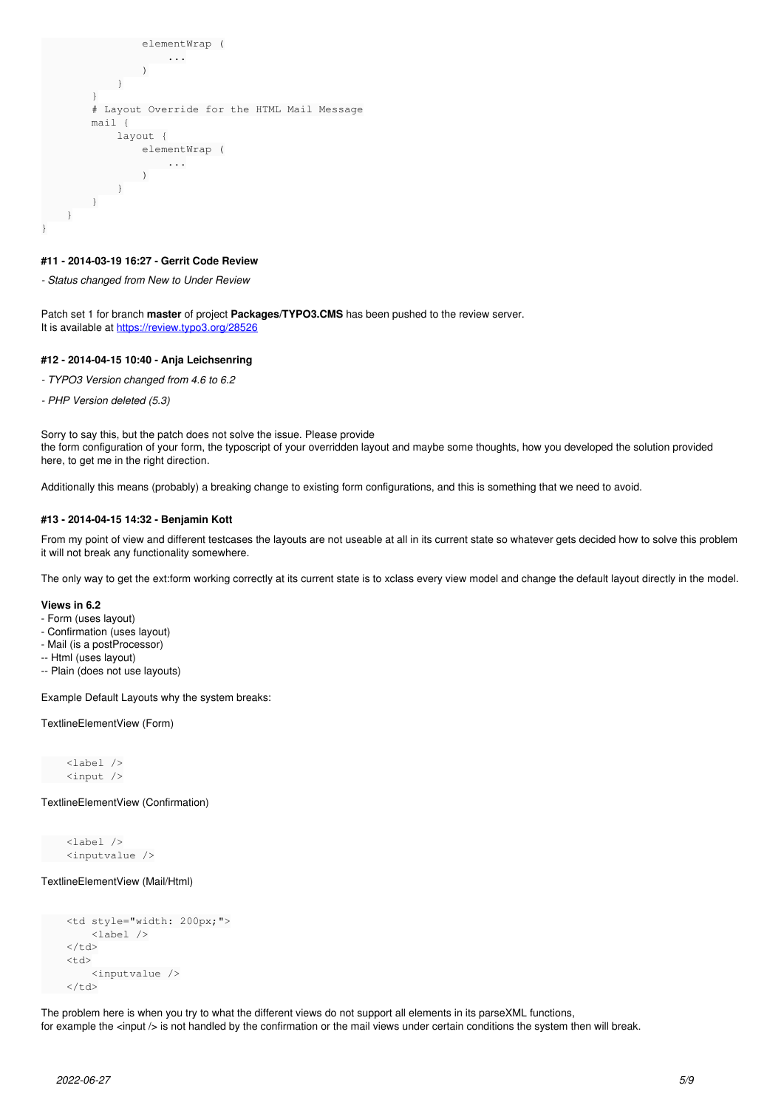```
                elementWrap (
                                                                ...
                )
                     \rightarrow        }
                         # Layout Override for the HTML Mail Message
                        mail {
                                      layout {
                                                  elementWrap (
                                                           ...
                               \rightarrow\rightarrow\left\{\begin{array}{c}1\\1\end{array}\right\}\qquad \qquad }
}
```
### **#11 - 2014-03-19 16:27 - Gerrit Code Review**

*- Status changed from New to Under Review*

Patch set 1 for branch **master** of project **Packages/TYPO3.CMS** has been pushed to the review server. It is available at <https://review.typo3.org/28526>

#### **#12 - 2014-04-15 10:40 - Anja Leichsenring**

- *TYPO3 Version changed from 4.6 to 6.2*
- *PHP Version deleted (5.3)*

Sorry to say this, but the patch does not solve the issue. Please provide the form configuration of your form, the typoscript of your overridden layout and maybe some thoughts, how you developed the solution provided here, to get me in the right direction.

Additionally this means (probably) a breaking change to existing form configurations, and this is something that we need to avoid.

#### **#13 - 2014-04-15 14:32 - Benjamin Kott**

From my point of view and different testcases the layouts are not useable at all in its current state so whatever gets decided how to solve this problem it will not break any functionality somewhere.

The only way to get the ext:form working correctly at its current state is to xclass every view model and change the default layout directly in the model.

#### **Views in 6.2**

- Form (uses layout)
- Confirmation (uses layout)
- Mail (is a postProcessor)
- -- Html (uses layout)
- -- Plain (does not use layouts)

Example Default Layouts why the system breaks:

TextlineElementView (Form)

 <label /> <input />

## TextlineElementView (Confirmation)

 <label /> <inputvalue />

TextlineElementView (Mail/Html)

```
    <td style="width: 200px;">
              <label />
\langle/td>
<td>
              <inputvalue />
\langle/td>
```
The problem here is when you try to what the different views do not support all elements in its parseXML functions, for example the <input /> is not handled by the confirmation or the mail views under certain conditions the system then will break.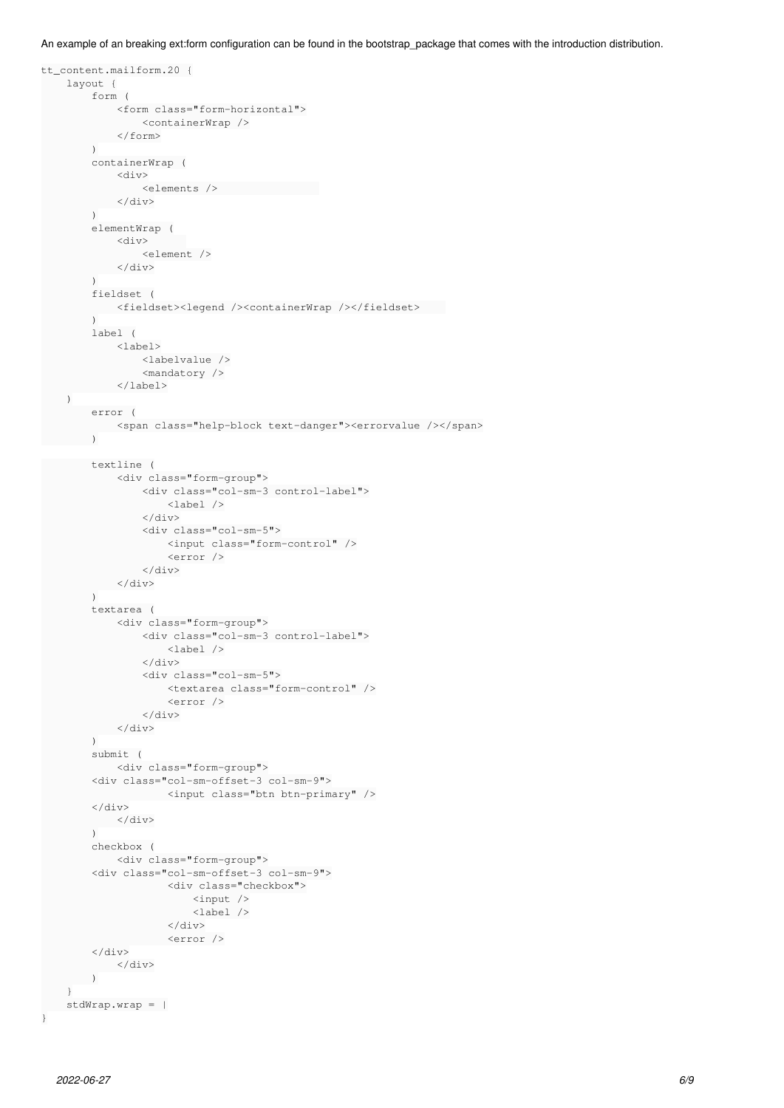An example of an breaking ext:form configuration can be found in the bootstrap\_package that comes with the introduction distribution.

```
tt_content.mailform.20 {
          layout {
                     form (
                                <form class="form-horizontal">
                                        <containerWrap />
                             </form>
              \lambda        containerWrap (
                                <div>
                                           <elements />                
                 \langle/div>\lambda        elementWrap (
                                <div>      
                                           <element />
                 \langle/div>        )
                      fieldset (
                             <fieldset><legend /><containerWrap /></fieldset>    
\overline{\phantom{a}}        label (
                                <label>
                                           <labelvalue />
                                           <mandatory />
                        </label>
          )
                      error (
                             <span class="help-block text-danger"><errorvalue /></span>
                      )
                      textline (
                                <div class="form-group">
                                           <div class="col-sm-3 control-label">
                                                      <label />
                            \langlediv>\tt<div class="col-sm-5">
                                                      <input class="form-control" />
                                                       <error />
                            \langlediv>
                  \langlediv>\overline{\phantom{a}}        textarea (
                                <div class="form-group">
                                          <div class="col-sm-3 control-label">
                                                      <label />
                                           </div>
                                            <div class="col-sm-5">
                                                       <textarea class="form-control" />
                                                       <error />
                                           </div>
                 \langle/div>        )
                      submit (
                                <div class="form-group">
                      <div class="col-sm-offset-3 col-sm-9">
                                                  <input class="btn btn-primary" />
                      </div>
                \langle/div>\overline{\phantom{a}}        checkbox (
                                <div class="form-group">
                      <div class="col-sm-offset-3 col-sm-9">
                                                       <div class="checkbox">
                                                                 <input />
                                                                  <label />
                                   \langle/div\rangle                    <error />
              \langlediv>
                 \langle/div\rangle\overline{\phantom{a}}    }
          stdWrap.wrap = |
```

```
2022-06-27 6/9
```
}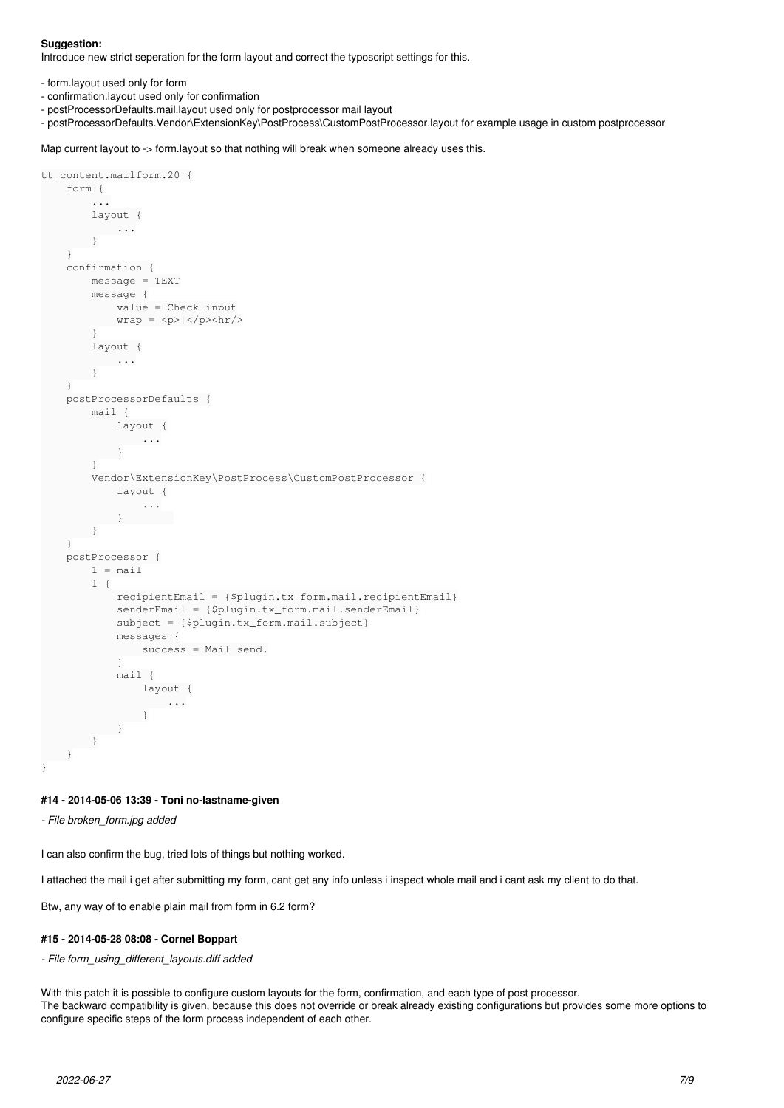### **Suggestion:**

Introduce new strict seperation for the form layout and correct the typoscript settings for this.

- form.layout used only for form
- confirmation.layout used only for confirmation
- postProcessorDefaults.mail.layout used only for postprocessor mail layout
- postProcessorDefaults.Vendor\ExtensionKey\PostProcess\CustomPostProcessor.layout for example usage in custom postprocessor

Map current layout to -> form.layout so that nothing will break when someone already uses this.

```
tt_content.mailform.20 {
          form {
                      ...
                     layout {
                             ...
                     }
           }
          confirmation {
                     message = TEXT
                     message {
                              value = Check input
                 wrap = <p>~|~</p>~|~        }
                      layout {
                           ...
                  }
           }
          postProcessorDefaults {
                     mail {
                             layout {
                                        ...
               \qquad \qquad }
                      }
                     Vendor\ExtensionKey\PostProcess\CustomPostProcessor {
                               layout {
                                         ...
                           }        
                     }
           }
          postProcessor {
             1 = \text{mail}        1 {
                                recipientEmail = {$plugin.tx_form.mail.recipientEmail}
                                senderEmail = {$plugin.tx_form.mail.senderEmail}
                                subject = {$plugin.tx_form.mail.subject}
                                messages {
                                        success = Mail send.
            }
                                mail {
                                         layout {
                                                      ...
                       \qquad \qquad }
               \left\{\begin{array}{cc}1&1\\1&1\end{array}\right\}\qquad \qquad \}\longrightarrow}
```
## **#14 - 2014-05-06 13:39 - Toni no-lastname-given**

*- File broken\_form.jpg added*

I can also confirm the bug, tried lots of things but nothing worked.

I attached the mail i get after submitting my form, cant get any info unless i inspect whole mail and i cant ask my client to do that.

Btw, any way of to enable plain mail from form in 6.2 form?

# **#15 - 2014-05-28 08:08 - Cornel Boppart**

#### *- File form\_using\_different\_layouts.diff added*

With this patch it is possible to configure custom layouts for the form, confirmation, and each type of post processor. The backward compatibility is given, because this does not override or break already existing configurations but provides some more options to configure specific steps of the form process independent of each other.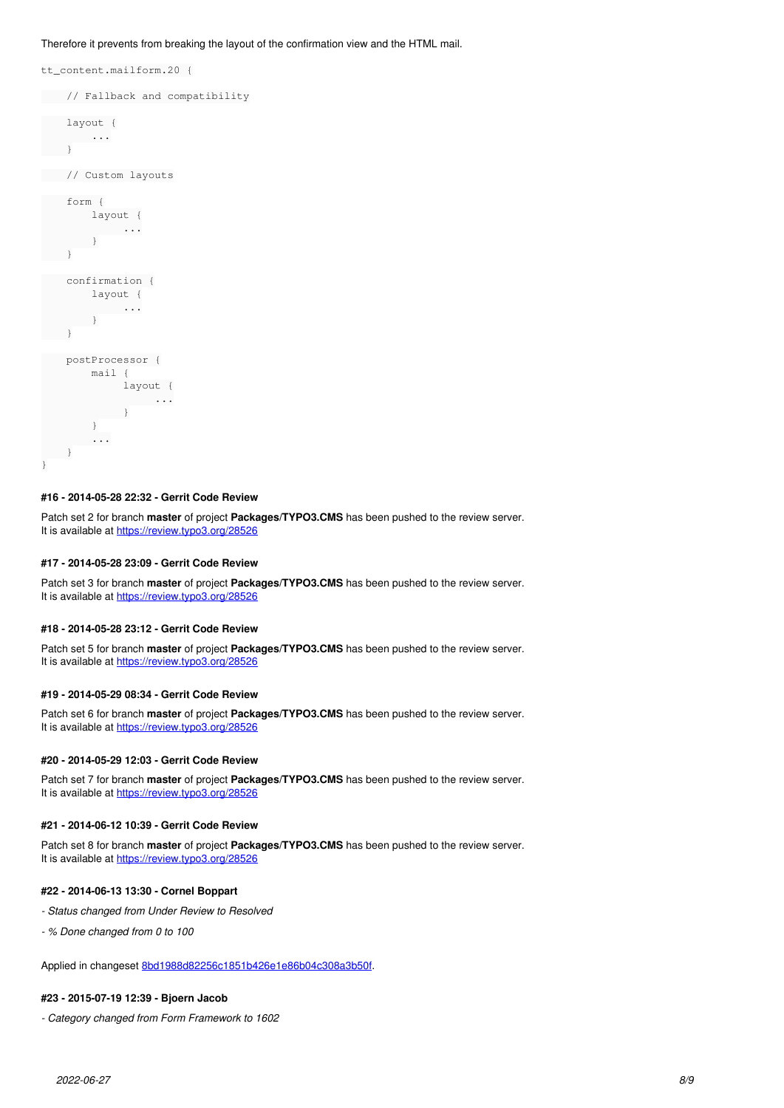Therefore it prevents from breaking the layout of the confirmation view and the HTML mail.

tt\_content.mailform.20 { // Fallback and compatibility layout { ...  $\rightarrow$  // Custom layouts form { layout { ...  $\rightarrow$  } confirmation { layout { ...  $\qquad \qquad$  }  $\left\{\begin{array}{cc} 1 & 1 \\ 1 & 1 \end{array}\right\}$  postProcessor { mail { layout { ... } } ...  $\qquad \}$ }

### **#16 - 2014-05-28 22:32 - Gerrit Code Review**

Patch set 2 for branch **master** of project **Packages/TYPO3.CMS** has been pushed to the review server. It is available at <https://review.typo3.org/28526>

### **#17 - 2014-05-28 23:09 - Gerrit Code Review**

Patch set 3 for branch **master** of project **Packages/TYPO3.CMS** has been pushed to the review server. It is available at <https://review.typo3.org/28526>

#### **#18 - 2014-05-28 23:12 - Gerrit Code Review**

Patch set 5 for branch **master** of project **Packages/TYPO3.CMS** has been pushed to the review server. It is available at <https://review.typo3.org/28526>

### **#19 - 2014-05-29 08:34 - Gerrit Code Review**

Patch set 6 for branch **master** of project **Packages/TYPO3.CMS** has been pushed to the review server. It is available at <https://review.typo3.org/28526>

#### **#20 - 2014-05-29 12:03 - Gerrit Code Review**

Patch set 7 for branch **master** of project **Packages/TYPO3.CMS** has been pushed to the review server. It is available at <https://review.typo3.org/28526>

### **#21 - 2014-06-12 10:39 - Gerrit Code Review**

Patch set 8 for branch **master** of project **Packages/TYPO3.CMS** has been pushed to the review server. It is available at <https://review.typo3.org/28526>

# **#22 - 2014-06-13 13:30 - Cornel Boppart**

- *Status changed from Under Review to Resolved*
- *% Done changed from 0 to 100*

Applied in changeset [8bd1988d82256c1851b426e1e86b04c308a3b50f](https://forge.typo3.org/projects/typo3cms-core/repository/1749/revisions/8bd1988d82256c1851b426e1e86b04c308a3b50f).

# **#23 - 2015-07-19 12:39 - Bjoern Jacob**

*- Category changed from Form Framework to 1602*